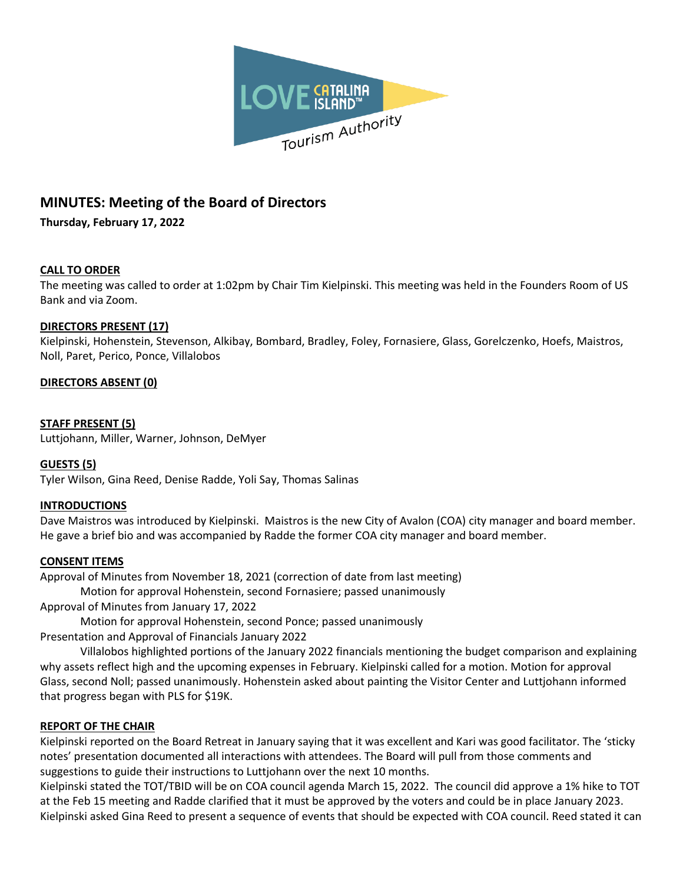

# **MINUTES: Meeting of the Board of Directors**

**Thursday, February 17, 2022**

## **CALL TO ORDER**

The meeting was called to order at 1:02pm by Chair Tim Kielpinski. This meeting was held in the Founders Room of US Bank and via Zoom.

## **DIRECTORS PRESENT (17)**

Kielpinski, Hohenstein, Stevenson, Alkibay, Bombard, Bradley, Foley, Fornasiere, Glass, Gorelczenko, Hoefs, Maistros, Noll, Paret, Perico, Ponce, Villalobos

# **DIRECTORS ABSENT (0)**

## **STAFF PRESENT (5)**

Luttjohann, Miller, Warner, Johnson, DeMyer

## **GUESTS (5)**

Tyler Wilson, Gina Reed, Denise Radde, Yoli Say, Thomas Salinas

## **INTRODUCTIONS**

Dave Maistros was introduced by Kielpinski. Maistros is the new City of Avalon (COA) city manager and board member. He gave a brief bio and was accompanied by Radde the former COA city manager and board member.

## **CONSENT ITEMS**

Approval of Minutes from November 18, 2021 (correction of date from last meeting) Motion for approval Hohenstein, second Fornasiere; passed unanimously Approval of Minutes from January 17, 2022

Motion for approval Hohenstein, second Ponce; passed unanimously Presentation and Approval of Financials January 2022

Villalobos highlighted portions of the January 2022 financials mentioning the budget comparison and explaining why assets reflect high and the upcoming expenses in February. Kielpinski called for a motion. Motion for approval Glass, second Noll; passed unanimously. Hohenstein asked about painting the Visitor Center and Luttjohann informed that progress began with PLS for \$19K.

## **REPORT OF THE CHAIR**

Kielpinski reported on the Board Retreat in January saying that it was excellent and Kari was good facilitator. The 'sticky notes' presentation documented all interactions with attendees. The Board will pull from those comments and suggestions to guide their instructions to Luttjohann over the next 10 months.

Kielpinski stated the TOT/TBID will be on COA council agenda March 15, 2022. The council did approve a 1% hike to TOT at the Feb 15 meeting and Radde clarified that it must be approved by the voters and could be in place January 2023. Kielpinski asked Gina Reed to present a sequence of events that should be expected with COA council. Reed stated it can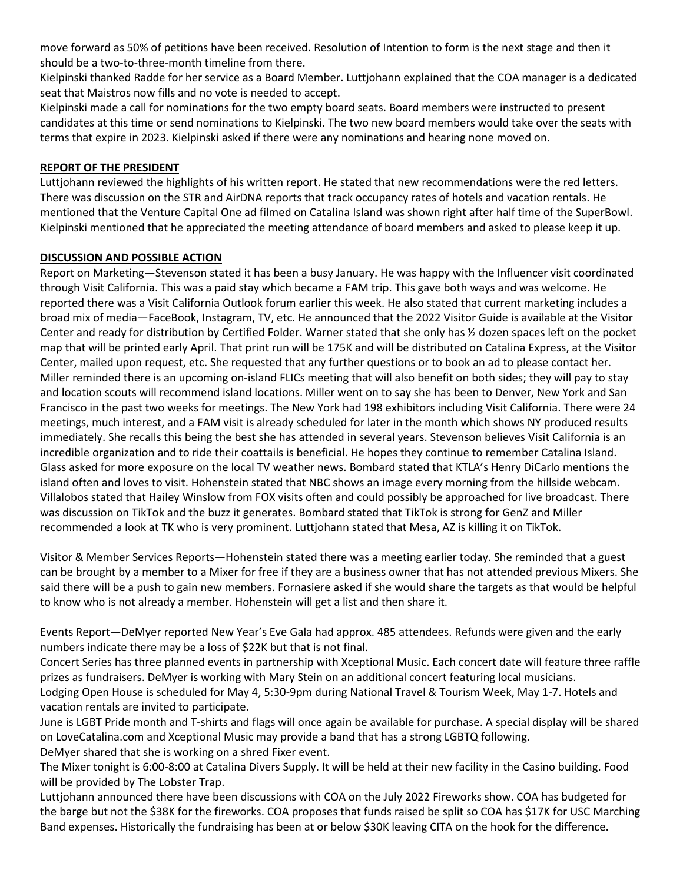move forward as 50% of petitions have been received. Resolution of Intention to form is the next stage and then it should be a two-to-three-month timeline from there.

Kielpinski thanked Radde for her service as a Board Member. Luttjohann explained that the COA manager is a dedicated seat that Maistros now fills and no vote is needed to accept.

Kielpinski made a call for nominations for the two empty board seats. Board members were instructed to present candidates at this time or send nominations to Kielpinski. The two new board members would take over the seats with terms that expire in 2023. Kielpinski asked if there were any nominations and hearing none moved on.

## **REPORT OF THE PRESIDENT**

Luttjohann reviewed the highlights of his written report. He stated that new recommendations were the red letters. There was discussion on the STR and AirDNA reports that track occupancy rates of hotels and vacation rentals. He mentioned that the Venture Capital One ad filmed on Catalina Island was shown right after half time of the SuperBowl. Kielpinski mentioned that he appreciated the meeting attendance of board members and asked to please keep it up.

## **DISCUSSION AND POSSIBLE ACTION**

Report on Marketing—Stevenson stated it has been a busy January. He was happy with the Influencer visit coordinated through Visit California. This was a paid stay which became a FAM trip. This gave both ways and was welcome. He reported there was a Visit California Outlook forum earlier this week. He also stated that current marketing includes a broad mix of media—FaceBook, Instagram, TV, etc. He announced that the 2022 Visitor Guide is available at the Visitor Center and ready for distribution by Certified Folder. Warner stated that she only has ½ dozen spaces left on the pocket map that will be printed early April. That print run will be 175K and will be distributed on Catalina Express, at the Visitor Center, mailed upon request, etc. She requested that any further questions or to book an ad to please contact her. Miller reminded there is an upcoming on-island FLICs meeting that will also benefit on both sides; they will pay to stay and location scouts will recommend island locations. Miller went on to say she has been to Denver, New York and San Francisco in the past two weeks for meetings. The New York had 198 exhibitors including Visit California. There were 24 meetings, much interest, and a FAM visit is already scheduled for later in the month which shows NY produced results immediately. She recalls this being the best she has attended in several years. Stevenson believes Visit California is an incredible organization and to ride their coattails is beneficial. He hopes they continue to remember Catalina Island. Glass asked for more exposure on the local TV weather news. Bombard stated that KTLA's Henry DiCarlo mentions the island often and loves to visit. Hohenstein stated that NBC shows an image every morning from the hillside webcam. Villalobos stated that Hailey Winslow from FOX visits often and could possibly be approached for live broadcast. There was discussion on TikTok and the buzz it generates. Bombard stated that TikTok is strong for GenZ and Miller recommended a look at TK who is very prominent. Luttjohann stated that Mesa, AZ is killing it on TikTok.

Visitor & Member Services Reports—Hohenstein stated there was a meeting earlier today. She reminded that a guest can be brought by a member to a Mixer for free if they are a business owner that has not attended previous Mixers. She said there will be a push to gain new members. Fornasiere asked if she would share the targets as that would be helpful to know who is not already a member. Hohenstein will get a list and then share it.

Events Report—DeMyer reported New Year's Eve Gala had approx. 485 attendees. Refunds were given and the early numbers indicate there may be a loss of \$22K but that is not final.

Concert Series has three planned events in partnership with Xceptional Music. Each concert date will feature three raffle prizes as fundraisers. DeMyer is working with Mary Stein on an additional concert featuring local musicians. Lodging Open House is scheduled for May 4, 5:30-9pm during National Travel & Tourism Week, May 1-7. Hotels and vacation rentals are invited to participate.

June is LGBT Pride month and T-shirts and flags will once again be available for purchase. A special display will be shared on LoveCatalina.com and Xceptional Music may provide a band that has a strong LGBTQ following. DeMyer shared that she is working on a shred Fixer event.

The Mixer tonight is 6:00-8:00 at Catalina Divers Supply. It will be held at their new facility in the Casino building. Food will be provided by The Lobster Trap.

Luttjohann announced there have been discussions with COA on the July 2022 Fireworks show. COA has budgeted for the barge but not the \$38K for the fireworks. COA proposes that funds raised be split so COA has \$17K for USC Marching Band expenses. Historically the fundraising has been at or below \$30K leaving CITA on the hook for the difference.